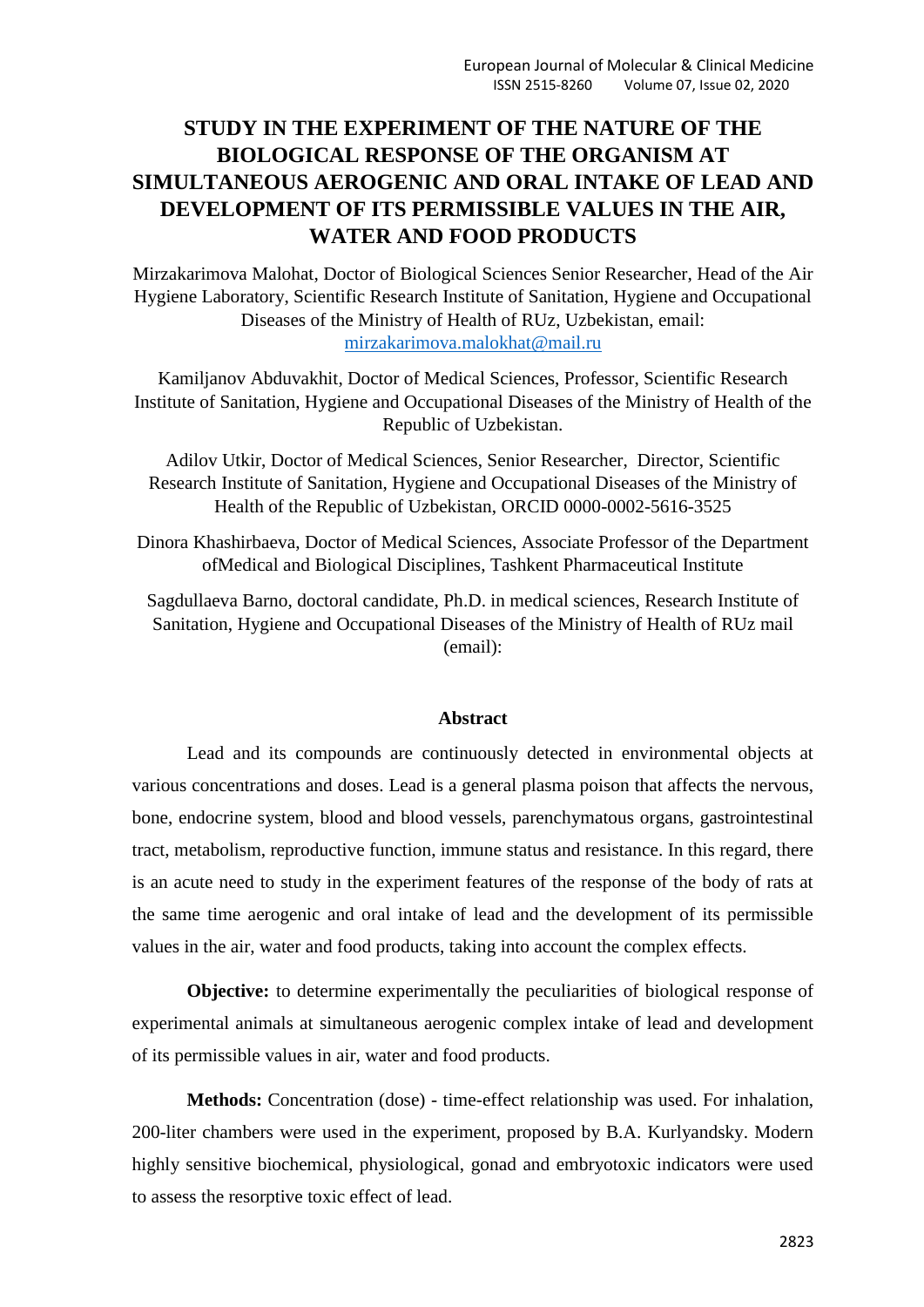# **STUDY IN THE EXPERIMENT OF THE NATURE OF THE BIOLOGICAL RESPONSE OF THE ORGANISM AT SIMULTANEOUS AEROGENIC AND ORAL INTAKE OF LEAD AND DEVELOPMENT OF ITS PERMISSIBLE VALUES IN THE AIR, WATER AND FOOD PRODUCTS**

Mirzakarimova Malohat, Doctor of Biological Sciences Senior Researcher, Head of the Air Hygiene Laboratory, Scientific Research Institute of Sanitation, Hygiene and Occupational Diseases of the Ministry of Health of RUz, Uzbekistan, email: [mirzakarimova.malokhat@mail.ru](mailto:mirzakarimova.malokhat@mail.ru)

Kamiljanov Abduvakhit, Doctor of Medical Sciences, Professor, Scientific Research Institute of Sanitation, Hygiene and Occupational Diseases of the Ministry of Health of the Republic of Uzbekistan.

Adilov Utkir, Doctor of Medical Sciences, Senior Researcher, Director, Scientific Research Institute of Sanitation, Hygiene and Occupational Diseases of the Ministry of Health of the Republic of Uzbekistan, ORCID 0000-0002-5616-3525

Dinora Khashirbaeva, Doctor of Medical Sciences, Associate Professor of the Department ofMedical and Biological Disciplines, Tashkent Pharmaceutical Institute

Sagdullaeva Barno, doctoral candidate, Ph.D. in medical sciences, Research Institute of Sanitation, Hygiene and Occupational Diseases of the Ministry of Health of RUz mail (email):

#### **Abstract**

Lead and its compounds are continuously detected in environmental objects at various concentrations and doses. Lead is a general plasma poison that affects the nervous, bone, endocrine system, blood and blood vessels, parenchymatous organs, gastrointestinal tract, metabolism, reproductive function, immune status and resistance. In this regard, there is an acute need to study in the experiment features of the response of the body of rats at the same time aerogenic and oral intake of lead and the development of its permissible values in the air, water and food products, taking into account the complex effects.

**Objective:** to determine experimentally the peculiarities of biological response of experimental animals at simultaneous aerogenic complex intake of lead and development of its permissible values in air, water and food products.

**Methods:** Concentration (dose) - time-effect relationship was used. For inhalation, 200-liter chambers were used in the experiment, proposed by B.A. Kurlyandsky. Modern highly sensitive biochemical, physiological, gonad and embryotoxic indicators were used to assess the resorptive toxic effect of lead.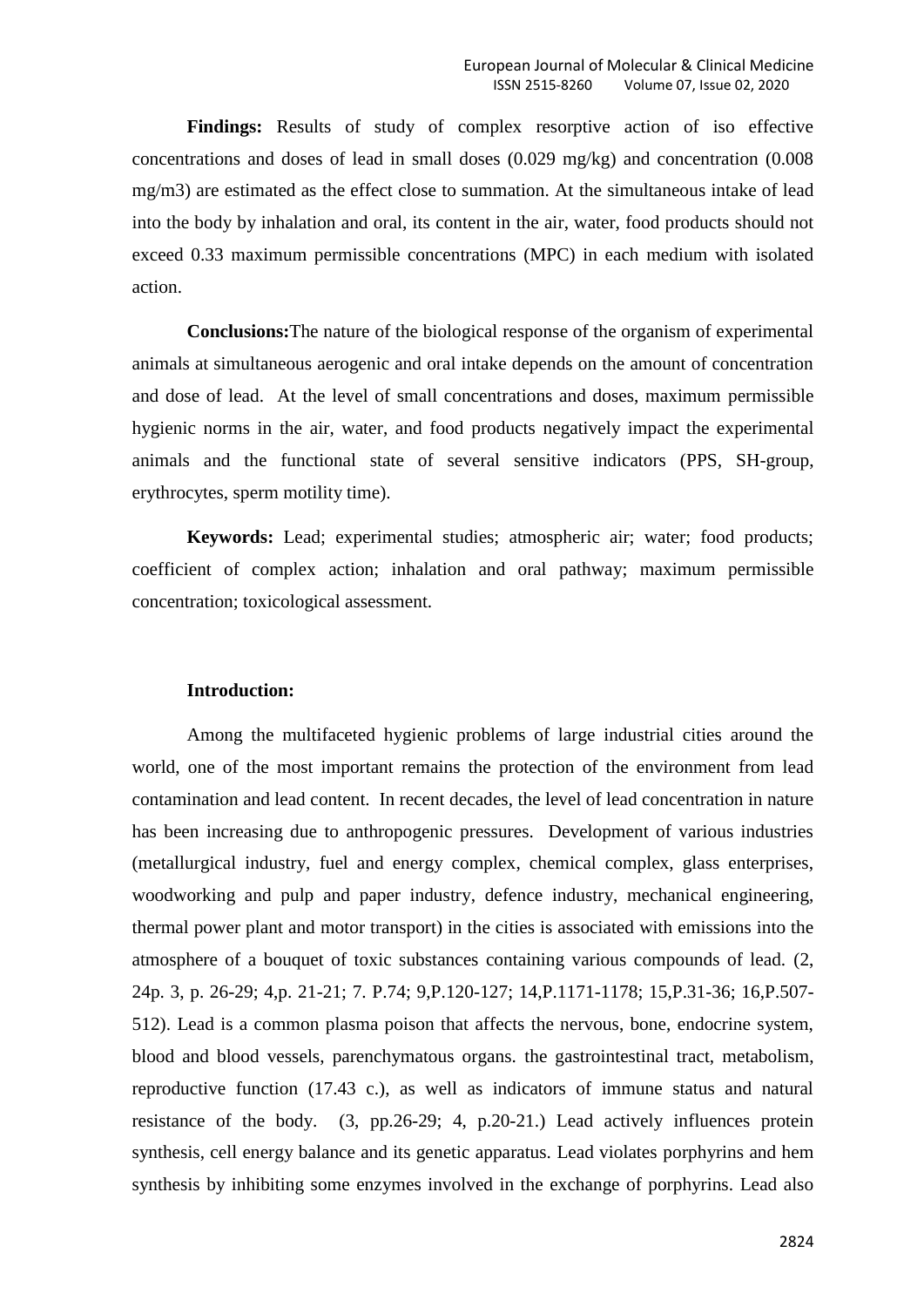**Findings:** Results of study of complex resorptive action of iso effective concentrations and doses of lead in small doses (0.029 mg/kg) and concentration (0.008 mg/m3) are estimated as the effect close to summation. At the simultaneous intake of lead into the body by inhalation and oral, its content in the air, water, food products should not exceed 0.33 maximum permissible concentrations (MPC) in each medium with isolated action.

**Conclusions:**The nature of the biological response of the organism of experimental animals at simultaneous aerogenic and oral intake depends on the amount of concentration and dose of lead. At the level of small concentrations and doses, maximum permissible hygienic norms in the air, water, and food products negatively impact the experimental animals and the functional state of several sensitive indicators (PPS, SH-group, erythrocytes, sperm motility time).

**Keywords:** Lead; experimental studies; atmospheric air; water; food products; coefficient of complex action; inhalation and oral pathway; maximum permissible concentration; toxicological assessment.

### **Introduction:**

Among the multifaceted hygienic problems of large industrial cities around the world, one of the most important remains the protection of the environment from lead contamination and lead content. In recent decades, the level of lead concentration in nature has been increasing due to anthropogenic pressures. Development of various industries (metallurgical industry, fuel and energy complex, chemical complex, glass enterprises, woodworking and pulp and paper industry, defence industry, mechanical engineering, thermal power plant and motor transport) in the cities is associated with emissions into the atmosphere of a bouquet of toxic substances containing various compounds of lead. (2, 24p. 3, p. 26-29; 4,p. 21-21; 7. P.74; 9,P.120-127; 14,P.1171-1178; 15,P.31-36; 16,P.507- 512). Lead is a common plasma poison that affects the nervous, bone, endocrine system, blood and blood vessels, parenchymatous organs. the gastrointestinal tract, metabolism, reproductive function (17.43 c.), as well as indicators of immune status and natural resistance of the body. (3, pp.26-29; 4, p.20-21.) Lead actively influences protein synthesis, cell energy balance and its genetic apparatus. Lead violates porphyrins and hem synthesis by inhibiting some enzymes involved in the exchange of porphyrins. Lead also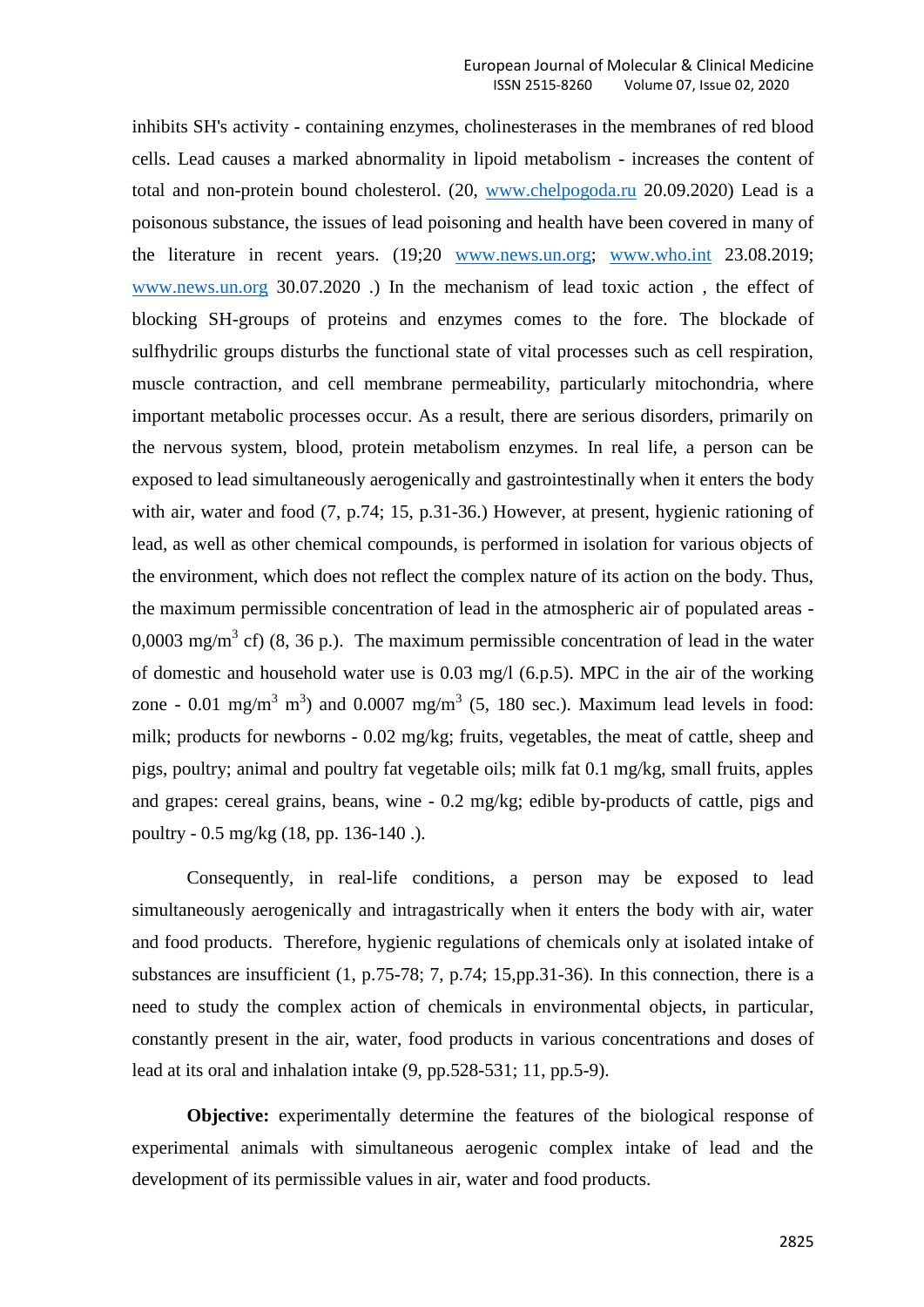inhibits SH's activity - containing enzymes, cholinesterases in the membranes of red blood cells. Lead causes a marked abnormality in lipoid metabolism - increases the content of total and non-protein bound cholesterol. (20, [www.chelpogoda.ru](http://www.chelpogoda.ru/) 20.09.2020) Lead is a poisonous substance, the issues of lead poisoning and health have been covered in many of the literature in recent years. (19;20 [www.news.un.org;](http://www.news.un.org/) [www.who.int](http://www.who.int/) 23.08.2019; [www.news.un.org](http://www.news.un.org/) 30.07.2020 .) In the mechanism of lead toxic action , the effect of blocking SH-groups of proteins and enzymes comes to the fore. The blockade of sulfhydrilic groups disturbs the functional state of vital processes such as cell respiration, muscle contraction, and cell membrane permeability, particularly mitochondria, where important metabolic processes occur. As a result, there are serious disorders, primarily on the nervous system, blood, protein metabolism enzymes. In real life, a person can be exposed to lead simultaneously aerogenically and gastrointestinally when it enters the body with air, water and food  $(7, p.74; 15, p.31-36)$  However, at present, hygienic rationing of lead, as well as other chemical compounds, is performed in isolation for various objects of the environment, which does not reflect the complex nature of its action on the body. Thus, the maximum permissible concentration of lead in the atmospheric air of populated areas - 0,0003 mg/m<sup>3</sup> cf) (8, 36 p.). The maximum permissible concentration of lead in the water of domestic and household water use is 0.03 mg/l (6.p.5). MPC in the air of the working zone - 0.01 mg/m<sup>3</sup> m<sup>3</sup>) and 0.0007 mg/m<sup>3</sup> (5, 180 sec.). Maximum lead levels in food: milk; products for newborns - 0.02 mg/kg; fruits, vegetables, the meat of cattle, sheep and pigs, poultry; animal and poultry fat vegetable oils; milk fat 0.1 mg/kg, small fruits, apples and grapes: cereal grains, beans, wine - 0.2 mg/kg; edible by-products of cattle, pigs and poultry - 0.5 mg/kg (18, pp. 136-140 .).

Consequently, in real-life conditions, a person may be exposed to lead simultaneously aerogenically and intragastrically when it enters the body with air, water and food products. Therefore, hygienic regulations of chemicals only at isolated intake of substances are insufficient (1, p.75-78; 7, p.74; 15,pp.31-36). In this connection, there is a need to study the complex action of chemicals in environmental objects, in particular, constantly present in the air, water, food products in various concentrations and doses of lead at its oral and inhalation intake (9, pp.528-531; 11, pp.5-9).

**Objective:** experimentally determine the features of the biological response of experimental animals with simultaneous aerogenic complex intake of lead and the development of its permissible values in air, water and food products.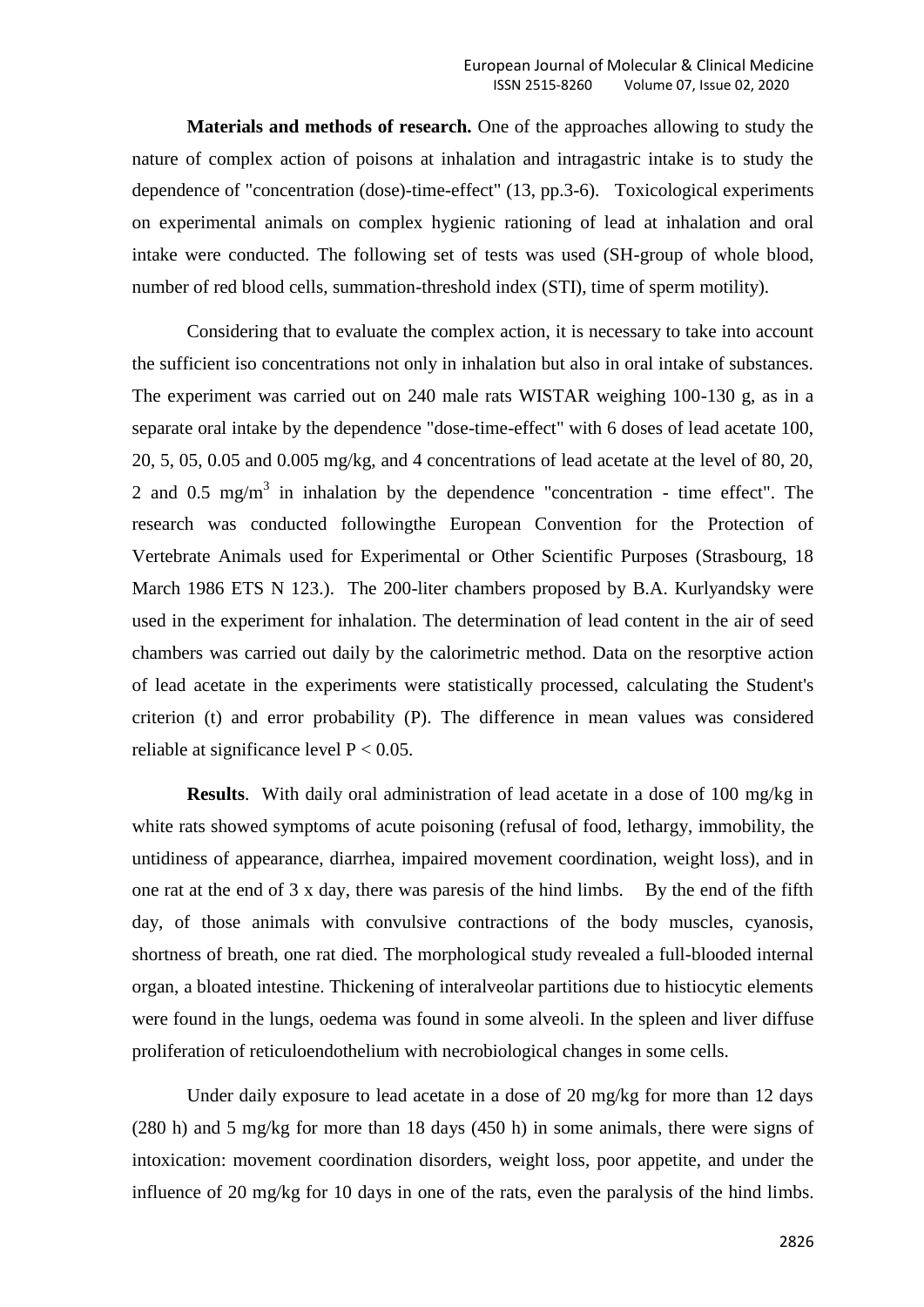**Materials and methods of research.** One of the approaches allowing to study the nature of complex action of poisons at inhalation and intragastric intake is to study the dependence of "concentration (dose)-time-effect" (13, pp.3-6). Toxicological experiments on experimental animals on complex hygienic rationing of lead at inhalation and oral intake were conducted. The following set of tests was used (SH-group of whole blood, number of red blood cells, summation-threshold index (STI), time of sperm motility).

Considering that to evaluate the complex action, it is necessary to take into account the sufficient iso concentrations not only in inhalation but also in oral intake of substances. The experiment was carried out on 240 male rats WISTAR weighing 100-130 g, as in a separate oral intake by the dependence "dose-time-effect" with 6 doses of lead acetate 100, 20, 5, 05, 0.05 and 0.005 mg/kg, and 4 concentrations of lead acetate at the level of 80, 20, 2 and 0.5 mg/m<sup>3</sup> in inhalation by the dependence "concentration - time effect". The research was conducted followingthe European Convention for the Protection of Vertebrate Animals used for Experimental or Other Scientific Purposes (Strasbourg, 18 March 1986 ETS N 123.). The 200-liter chambers proposed by B.A. Kurlyandsky were used in the experiment for inhalation. The determination of lead content in the air of seed chambers was carried out daily by the calorimetric method. Data on the resorptive action of lead acetate in the experiments were statistically processed, calculating the Student's criterion (t) and error probability (P). The difference in mean values was considered reliable at significance level  $P < 0.05$ .

**Results**. With daily oral administration of lead acetate in a dose of 100 mg/kg in white rats showed symptoms of acute poisoning (refusal of food, lethargy, immobility, the untidiness of appearance, diarrhea, impaired movement coordination, weight loss), and in one rat at the end of 3 x day, there was paresis of the hind limbs. By the end of the fifth day, of those animals with convulsive contractions of the body muscles, cyanosis, shortness of breath, one rat died. The morphological study revealed a full-blooded internal organ, a bloated intestine. Thickening of interalveolar partitions due to histiocytic elements were found in the lungs, oedema was found in some alveoli. In the spleen and liver diffuse proliferation of reticuloendothelium with necrobiological changes in some cells.

Under daily exposure to lead acetate in a dose of 20 mg/kg for more than 12 days (280 h) and 5 mg/kg for more than 18 days (450 h) in some animals, there were signs of intoxication: movement coordination disorders, weight loss, poor appetite, and under the influence of 20 mg/kg for 10 days in one of the rats, even the paralysis of the hind limbs.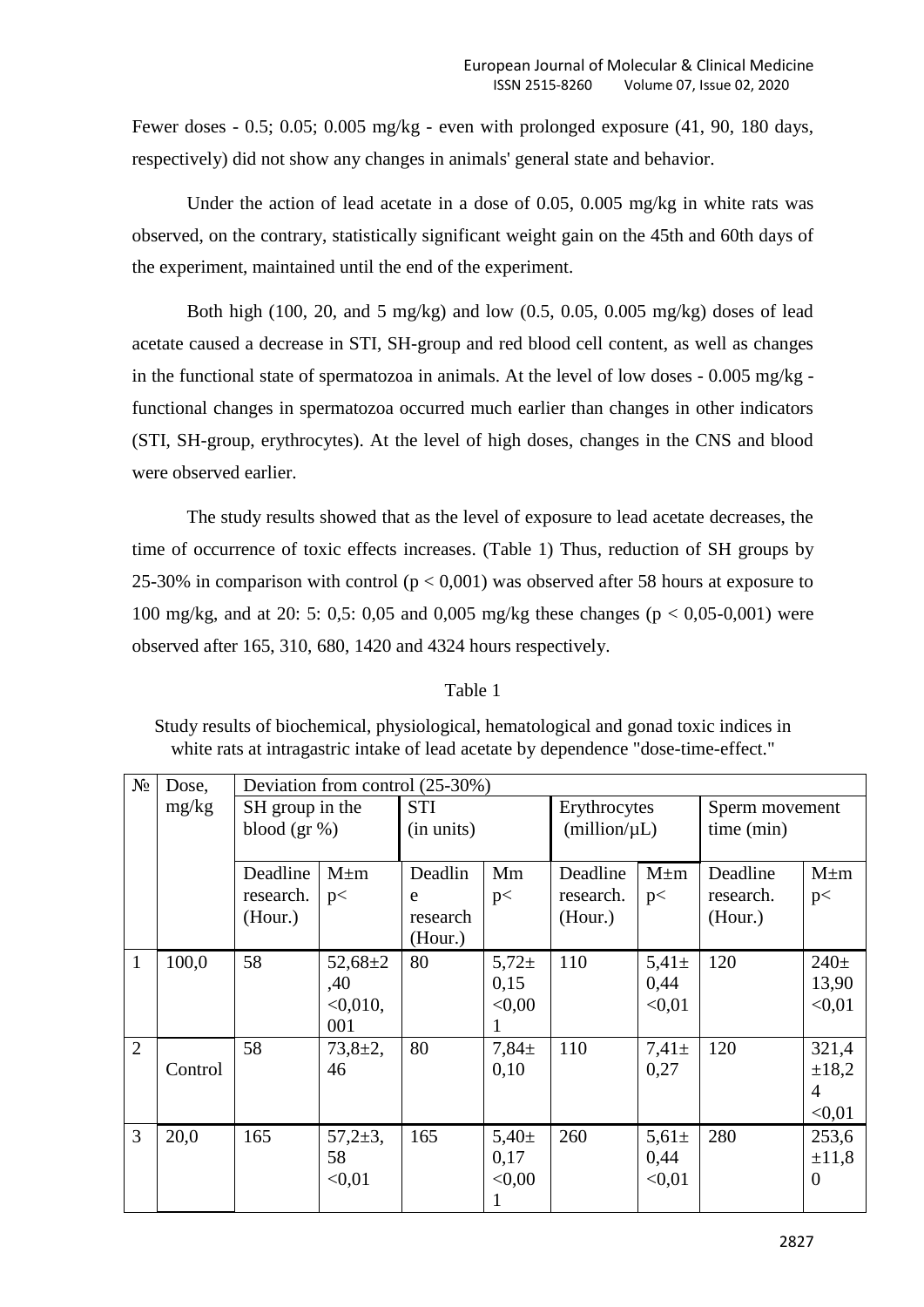Fewer doses - 0.5; 0.05; 0.005 mg/kg - even with prolonged exposure (41, 90, 180 days, respectively) did not show any changes in animals' general state and behavior.

Under the action of lead acetate in a dose of 0.05, 0.005 mg/kg in white rats was observed, on the contrary, statistically significant weight gain on the 45th and 60th days of the experiment, maintained until the end of the experiment.

Both high (100, 20, and 5 mg/kg) and low (0.5, 0.05, 0.005 mg/kg) doses of lead acetate caused a decrease in STI, SH-group and red blood cell content, as well as changes in the functional state of spermatozoa in animals. At the level of low doses - 0.005 mg/kg functional changes in spermatozoa occurred much earlier than changes in other indicators (STI, SH-group, erythrocytes). At the level of high doses, changes in the CNS and blood were observed earlier.

The study results showed that as the level of exposure to lead acetate decreases, the time of occurrence of toxic effects increases. (Table 1) Thus, reduction of SH groups by 25-30% in comparison with control ( $p < 0.001$ ) was observed after 58 hours at exposure to 100 mg/kg, and at 20: 5: 0,5: 0,05 and 0,005 mg/kg these changes (p < 0,05-0,001) were observed after 165, 310, 680, 1420 and 4324 hours respectively.

### Table 1

Study results of biochemical, physiological, hematological and gonad toxic indices in white rats at intragastric intake of lead acetate by dependence "dose-time-effect."

| $N_{2}$        | Dose,   | Deviation from control (25-30%) |               |            |            |              |              |                |            |  |
|----------------|---------|---------------------------------|---------------|------------|------------|--------------|--------------|----------------|------------|--|
|                | mg/kg   | SH group in the                 |               | <b>STI</b> |            | Erythrocytes |              | Sperm movement |            |  |
|                |         | blood $(\text{gr}\,\%)$         |               | (in units) |            |              | (million/µL) |                |            |  |
|                |         |                                 |               |            |            |              |              | time (min)     |            |  |
|                |         | Deadline                        | $M \pm m$     | Deadlin    | Mm         | Deadline     | $M \pm m$    | Deadline       | $M \pm m$  |  |
|                |         | research.                       | p<            | e          | p<         | research.    | p<           | research.      | p<         |  |
|                |         | (Hour.)                         |               | research   |            | (Hour.)      |              | (Hour.)        |            |  |
|                |         |                                 |               | (Hour.)    |            |              |              |                |            |  |
| $\mathbf{1}$   | 100,0   | 58                              | $52,68 \pm 2$ | 80         | $5,72+$    | 110          | $5,41 \pm$   | 120            | $240+$     |  |
|                |         |                                 | ,40           |            | 0,15       |              | 0,44         |                | 13,90      |  |
|                |         |                                 | $< 0.010$ ,   |            | < 0.00     |              | < 0.01       |                | < 0.01     |  |
|                |         |                                 | 001           |            |            |              |              |                |            |  |
| $\overline{2}$ |         | 58                              | $73,8+2,$     | 80         | $7,84 \pm$ | 110          | $7,41 \pm$   | 120            | 321,4      |  |
|                | Control |                                 | 46            |            | 0,10       |              | 0,27         |                | $\pm 18,2$ |  |
|                |         |                                 |               |            |            |              |              |                | 4          |  |
|                |         |                                 |               |            |            |              |              |                | < 0.01     |  |
| $\overline{3}$ | 20,0    | 165                             | $57,2{\pm}3,$ | 165        | $5,40\pm$  | 260          | $5,61 \pm$   | 280            | 253,6      |  |
|                |         |                                 | 58            |            | 0,17       |              | 0,44         |                | $\pm 11,8$ |  |
|                |         |                                 | < 0.01        |            | < 0.00     |              | < 0.01       |                | $\theta$   |  |
|                |         |                                 |               |            |            |              |              |                |            |  |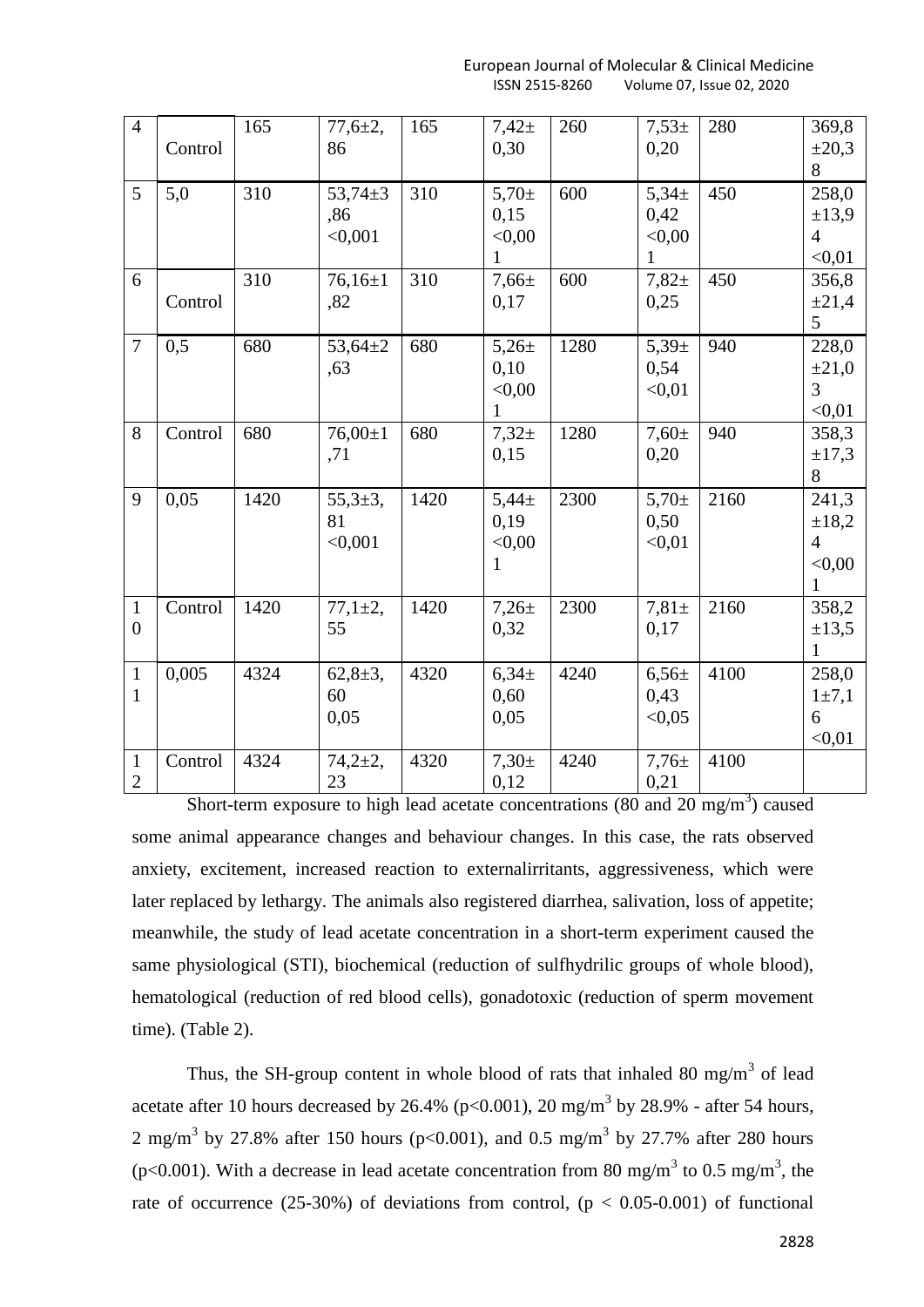European Journal of Molecular & Clinical Medicine ISSN 2515-8260 Volume 07, Issue 02, 2020

| $\overline{4}$                 | Control | 165  | $77,6{\pm}2,$<br>86             | 165  | $7,42+$<br>0,30                              | 260  | $7,53+$<br>0,20                             | 280  | 369,8<br>$\pm 20,3$<br>8                                   |
|--------------------------------|---------|------|---------------------------------|------|----------------------------------------------|------|---------------------------------------------|------|------------------------------------------------------------|
| 5                              | 5,0     | 310  | $53,74 \pm 3$<br>,86<br>< 0.001 | 310  | $5,70 \pm$<br>0,15<br>< 0,00<br>1            | 600  | $5,34\pm$<br>0,42<br>< 0.00<br>$\mathbf{1}$ | 450  | 258,0<br>$\pm 13,9$<br>$\overline{4}$<br>< 0.01            |
| 6                              | Control | 310  | $76,16 \pm 1$<br>,82            | 310  | $7,66 \pm$<br>0,17                           | 600  | $7,82+$<br>0,25                             | 450  | 356,8<br>±21,4<br>5                                        |
| $\tau$                         | 0,5     | 680  | $53,64 \pm 2$<br>,63            | 680  | $5,26 \pm$<br>0,10<br>< 0,00<br>1            | 1280 | $5,39\pm$<br>0,54<br>< 0.01                 | 940  | 228,0<br>$\pm 21,0$<br>3<br>< 0.01                         |
| 8                              | Control | 680  | $76,00 \pm 1$<br>,71            | 680  | $7,32+$<br>0,15                              | 1280 | $7,60+$<br>0,20                             | 940  | 358,3<br>$\pm 17,3$<br>8                                   |
| 9                              | 0.05    | 1420 | $55,3{\pm}3,$<br>81<br>< 0,001  | 1420 | $5,44 \pm$<br>0,19<br>< 0,00<br>$\mathbf{1}$ | 2300 | $5,70 \pm$<br>0,50<br>< 0.01                | 2160 | 241,3<br>±18,2<br>$\overline{4}$<br>< 0,00<br>$\mathbf{1}$ |
| $\mathbf{1}$<br>$\overline{0}$ | Control | 1420 | $77,1 \pm 2,$<br>55             | 1420 | $7,26 \pm$<br>0,32                           | 2300 | $7,81 \pm$<br>0,17                          | 2160 | 358,2<br>±13,5<br>$\mathbf{1}$                             |
| $\mathbf{1}$<br>$\mathbf{1}$   | 0,005   | 4324 | $62,8+3,$<br>60<br>0,05         | 4320 | 6,34 <sub>±</sub><br>0,60<br>0,05            | 4240 | $6,56 \pm$<br>0,43<br>< 0.05                | 4100 | 258,0<br>$1 \pm 7,1$<br>6<br>< 0.01                        |
| $\mathbf{1}$<br>$\overline{2}$ | Control | 4324 | $74,2{\pm}2,$<br>23             | 4320 | $7,30+$<br>0,12                              | 4240 | $7,76+$<br>0,21                             | 4100 |                                                            |

Short-term exposure to high lead acetate concentrations  $(80 \text{ and } 20 \text{ mg/m}^3)$  caused some animal appearance changes and behaviour changes. In this case, the rats observed anxiety, excitement, increased reaction to externalirritants, aggressiveness, which were later replaced by lethargy. The animals also registered diarrhea, salivation, loss of appetite; meanwhile, the study of lead acetate concentration in a short-term experiment caused the same physiological (STI), biochemical (reduction of sulfhydrilic groups of whole blood), hematological (reduction of red blood cells), gonadotoxic (reduction of sperm movement time). (Table 2).

Thus, the SH-group content in whole blood of rats that inhaled 80 mg/m<sup>3</sup> of lead acetate after 10 hours decreased by 26.4% ( $p<0.001$ ), 20 mg/m<sup>3</sup> by 28.9% - after 54 hours, 2 mg/m<sup>3</sup> by 27.8% after 150 hours (p<0.001), and 0.5 mg/m<sup>3</sup> by 27.7% after 280 hours (p<0.001). With a decrease in lead acetate concentration from 80 mg/m<sup>3</sup> to 0.5 mg/m<sup>3</sup>, the rate of occurrence (25-30%) of deviations from control, ( $p < 0.05$ -0.001) of functional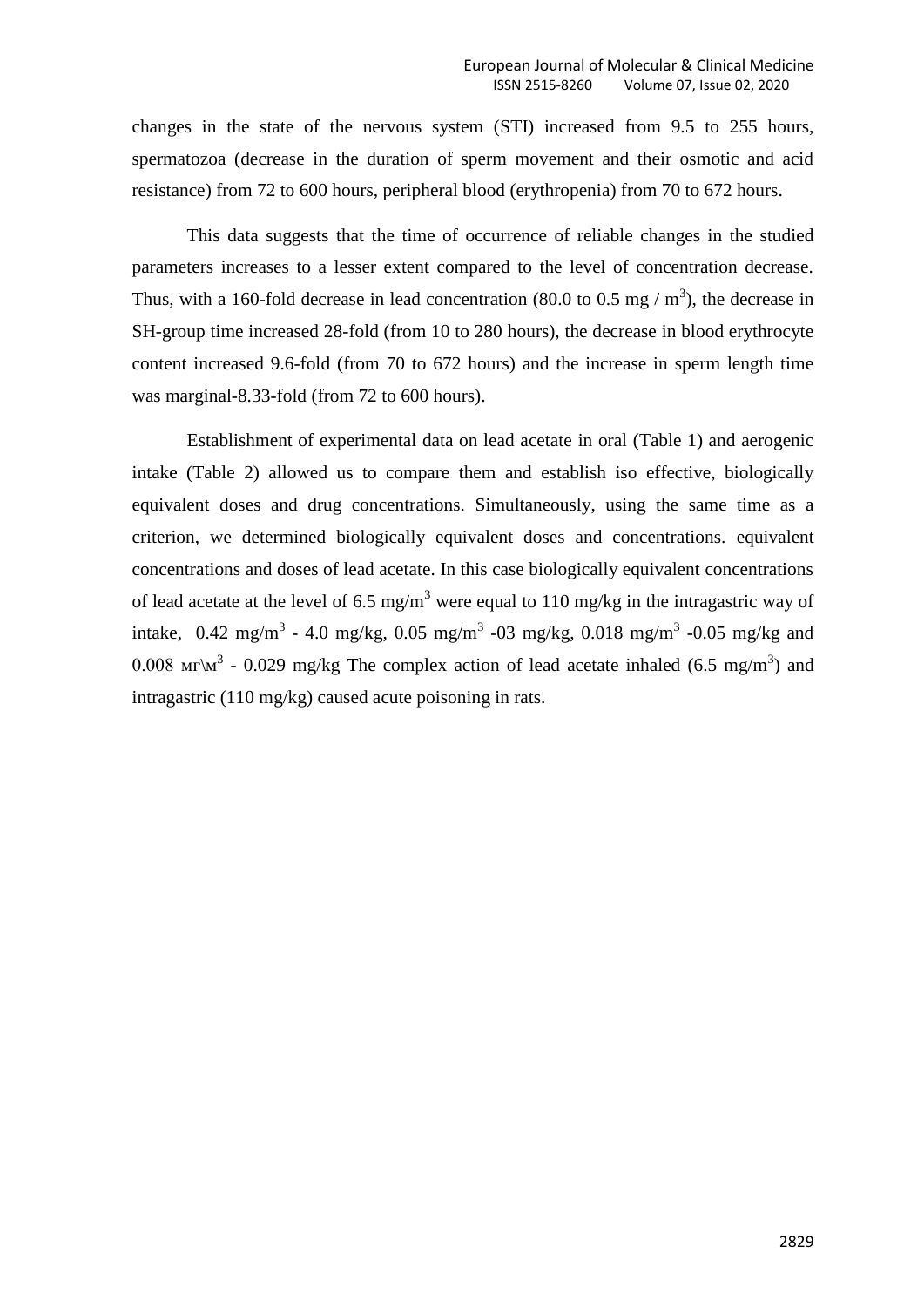changes in the state of the nervous system (STI) increased from 9.5 to 255 hours, spermatozoa (decrease in the duration of sperm movement and their osmotic and acid resistance) from 72 to 600 hours, peripheral blood (erythropenia) from 70 to 672 hours.

This data suggests that the time of occurrence of reliable changes in the studied parameters increases to a lesser extent compared to the level of concentration decrease. Thus, with a 160-fold decrease in lead concentration (80.0 to 0.5 mg  $/m<sup>3</sup>$ ), the decrease in SH-group time increased 28-fold (from 10 to 280 hours), the decrease in blood erythrocyte content increased 9.6-fold (from 70 to 672 hours) and the increase in sperm length time was marginal-8.33-fold (from 72 to 600 hours).

Establishment of experimental data on lead acetate in oral (Table 1) and aerogenic intake (Table 2) allowed us to compare them and establish iso effective, biologically equivalent doses and drug concentrations. Simultaneously, using the same time as a criterion, we determined biologically equivalent doses and concentrations. equivalent concentrations and doses of lead acetate. In this case biologically equivalent concentrations of lead acetate at the level of 6.5 mg/m<sup>3</sup> were equal to 110 mg/kg in the intragastric way of intake,  $0.42 \text{ mg/m}^3$  - 4.0 mg/kg,  $0.05 \text{ mg/m}^3$  -03 mg/kg,  $0.018 \text{ mg/m}^3$  -0.05 mg/kg and 0.008 Mr $\mathbb{M}^3$  - 0.029 mg/kg The complex action of lead acetate inhaled (6.5 mg/m<sup>3</sup>) and intragastric (110 mg/kg) caused acute poisoning in rats.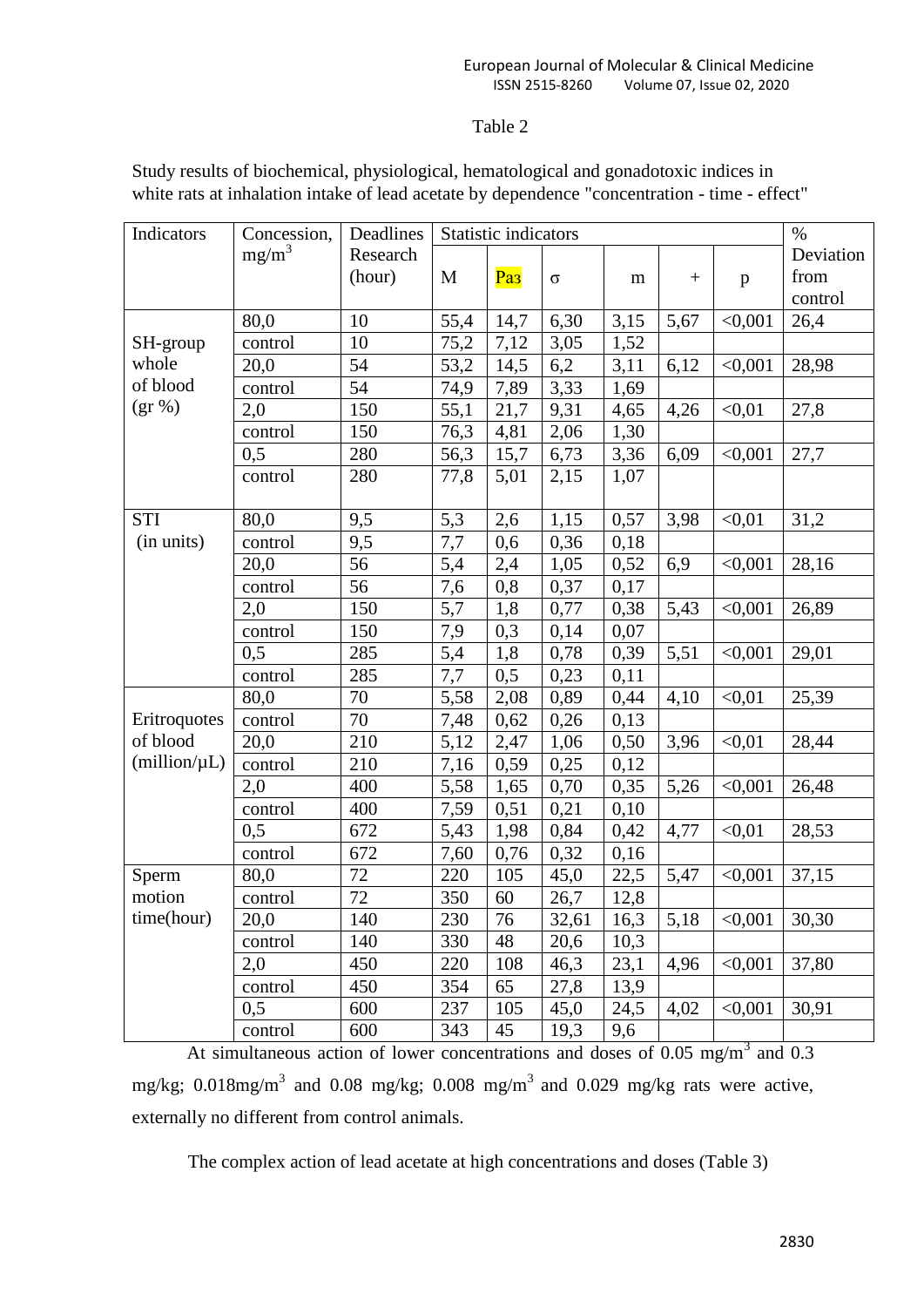# Table 2

| Indicators   | Concession, | Deadlines | Statistic indicators |                 |          |                   |                 |              | $\%$               |
|--------------|-------------|-----------|----------------------|-----------------|----------|-------------------|-----------------|--------------|--------------------|
|              | $mg/m^3$    | Research  |                      |                 |          |                   |                 |              | Deviation          |
|              |             | (hour)    | M                    | Pa <sub>3</sub> | $\sigma$ | m                 | $\! + \!\!\!\!$ | $\, {\bf p}$ | from               |
|              |             |           |                      |                 |          |                   |                 |              | control            |
|              | 80,0        | 10        | 55,4                 | 14,7            | 6,30     | 3,15              | 5,67            | < 0,001      | 26,4               |
| SH-group     | control     | 10        | 75,2                 | 7,12            | 3,05     | 1,52              |                 |              |                    |
| whole        | 20,0        | 54        | 53,2                 | 14,5            | 6,2      | 3,11              | 6,12            | < 0,001      | 28,98              |
| of blood     | control     | 54        | 74,9                 | 7,89            | 3,33     | 1,69              |                 |              |                    |
| $(gr \, % )$ | 2,0         | 150       | 55,1                 | 21,7            | 9,31     | 4,65              | 4,26            | < 0.01       | 27,8               |
|              | control     | 150       | 76,3                 | 4,81            | 2,06     | 1,30              |                 |              |                    |
|              | 0,5         | 280       | 56,3                 | 15,7            | 6,73     | 3,36              | 6,09            | < 0,001      | 27,7               |
|              | control     | 280       | 77,8                 | 5,01            | 2,15     | 1,07              |                 |              |                    |
|              |             |           |                      |                 |          |                   |                 |              |                    |
| <b>STI</b>   | 80,0        | 9,5       | 5,3                  | 2,6             | 1,15     | 0,57              | 3,98            | < 0.01       | 31,2               |
| (in units)   | control     | 9,5       | 7,7                  | 0,6             | 0,36     | 0,18              |                 |              |                    |
|              | 20,0        | 56        | 5,4                  | 2,4             | 1,05     | 0,52              | 6,9             | < 0,001      | 28,16              |
|              | control     | 56        | 7,6                  | 0,8             | 0,37     | 0,17              |                 |              |                    |
|              | 2,0         | 150       | 5,7                  | 1,8             | 0,77     | 0,38              | 5,43            | < 0,001      | 26,89              |
|              | control     | 150       | 7,9                  | 0,3             | 0,14     | 0,07              |                 |              |                    |
|              | 0,5         | 285       | 5,4                  | 1,8             | 0,78     | 0,39              | 5,51            | < 0.001      | 29,01              |
|              | control     | 285       | 7,7                  | 0,5             | 0,23     | 0,11              |                 |              |                    |
|              | 80,0        | 70        | 5,58                 | 2,08            | 0,89     | 0,44              | 4,10            | < 0.01       | 25,39              |
| Eritroquotes | control     | 70        | 7,48                 | 0,62            | 0,26     | 0,13              |                 |              |                    |
| of blood     | 20,0        | 210       | 5,12                 | 2,47            | 1,06     | 0,50              | 3,96            | < 0.01       | 28,44              |
| (million/µL) | control     | 210       | 7,16                 | 0,59            | 0,25     | 0,12              |                 |              |                    |
|              | 2,0         | 400       | 5,58                 | 1,65            | 0,70     | 0,35              | 5,26            | < 0,001      | 26,48              |
|              | control     | 400       | 7,59                 | 0,51            | 0,21     | 0,10              |                 |              |                    |
|              | 0,5         | 672       | 5,43                 | 1,98            | 0,84     | 0,42              | 4,77            | < 0.01       | 28,53              |
|              | control     | 672       | 7,60                 | 0,76            | 0,32     | 0,16              |                 |              |                    |
| Sperm        | 80,0        | 72        | 220                  | 105             | 45,0     | 22,5              | 5,47            | < 0,001      | 37,15              |
| motion       | control     | 72        | 350                  | 60              | 26,7     | 12,8              |                 |              |                    |
| time(hour)   | 20,0        | 140       | 230                  | 76              | 32,61    | $16,\overline{3}$ | 5,18            | < 0,001      | $\overline{30,30}$ |
|              | control     | 140       | 330                  | 48              | 20,6     | 10,3              |                 |              |                    |
|              | 2,0         | 450       | 220                  | 108             | 46,3     | 23,1              | 4,96            | < 0,001      | 37,80              |
|              | control     | 450       | 354                  | 65              | 27,8     | 13,9              |                 |              |                    |
|              | 0,5         | 600       | 237                  | 105             | 45,0     | 24,5              | 4,02            | < 0,001      | 30,91              |
|              | control     | 600       | 343                  | 45              | 19,3     | 9,6               |                 |              |                    |

Study results of biochemical, physiological, hematological and gonadotoxic indices in white rats at inhalation intake of lead acetate by dependence "concentration - time - effect"

At simultaneous action of lower concentrations and doses of  $0.05 \text{ mg/m}^3$  and  $0.3$ mg/kg; 0.018mg/m<sup>3</sup> and 0.08 mg/kg; 0.008 mg/m<sup>3</sup> and 0.029 mg/kg rats were active, externally no different from control animals.

The complex action of lead acetate at high concentrations and doses (Table 3)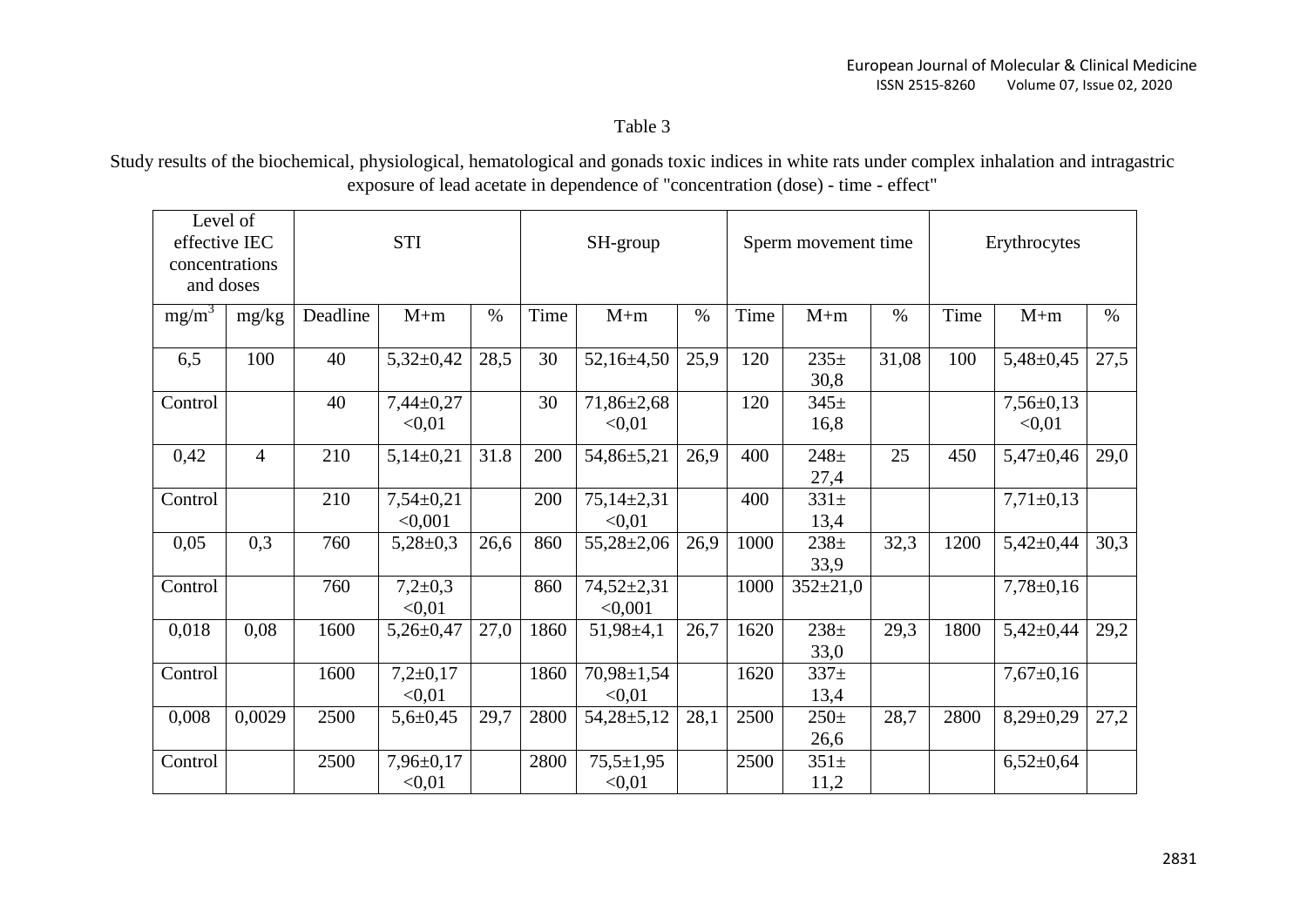Table 3

Study results of the biochemical, physiological, hematological and gonads toxic indices in white rats under complex inhalation and intragastric exposure of lead acetate in dependence of "concentration (dose) - time - effect"

| Level of<br>effective IEC<br>concentrations<br>and doses |                | <b>STI</b> |                           |      | SH-group |                            |      | Sperm movement time |                  |       | Erythrocytes |                           |      |
|----------------------------------------------------------|----------------|------------|---------------------------|------|----------|----------------------------|------|---------------------|------------------|-------|--------------|---------------------------|------|
| $mg/m^3$                                                 | mg/kg          | Deadline   | $M+m$                     | $\%$ | Time     | $M+m$                      | $\%$ | Time                | $M+m$            | $\%$  | Time         | $M+m$                     | $\%$ |
| 6,5                                                      | 100            | 40         | $5,32\pm0,42$             | 28,5 | 30       | $52,16\pm 4,50$            | 25,9 | 120                 | $235+$<br>30,8   | 31,08 | 100          | $5,48 \pm 0,45$           | 27,5 |
| Control                                                  |                | 40         | $7,44\pm0,27$<br>< 0.01   |      | 30       | $71,86 \pm 2,68$<br>< 0.01 |      | 120                 | $345+$<br>16,8   |       |              | $7,56 \pm 0,13$<br>< 0.01 |      |
| 0,42                                                     | $\overline{4}$ | 210        | $5,14\pm0,21$             | 31.8 | 200      | 54,86±5,21                 | 26,9 | 400                 | $248 +$<br>27,4  | 25    | 450          | $5,47\pm0,46$             | 29,0 |
| Control                                                  |                | 210        | $7,54\pm0,21$<br>< 0.001  |      | 200      | $75,14\pm2,31$<br>< 0.01   |      | 400                 | $331\pm$<br>13,4 |       |              | $7,71\pm0,13$             |      |
| 0,05                                                     | 0,3            | 760        | $5,28 \pm 0,3$            | 26,6 | 860      | $55,28 \pm 2,06$           | 26,9 | 1000                | $238+$<br>33,9   | 32,3  | 1200         | $5,42\pm0,44$             | 30,3 |
| Control                                                  |                | 760        | $7,2{\pm}0,3$<br>< 0.01   |      | 860      | $74,52\pm2,31$<br>< 0,001  |      | 1000                | $352 \pm 21,0$   |       |              | $7,78 \pm 0,16$           |      |
| 0,018                                                    | 0,08           | 1600       | $5,26 \pm 0,47$           | 27,0 | 1860     | $51,98 \pm 4,1$            | 26,7 | 1620                | $238 +$<br>33,0  | 29,3  | 1800         | $5,42\pm0,44$             | 29,2 |
| Control                                                  |                | 1600       | $7,2+0,17$<br>< 0.01      |      | 1860     | 70,98±1,54<br>< 0.01       |      | 1620                | $337+$<br>13,4   |       |              | $7,67 \pm 0,16$           |      |
| 0,008                                                    | 0,0029         | 2500       | $5,6 \pm 0,45$            | 29,7 | 2800     | $54,28 \pm 5,12$           | 28,1 | 2500                | $250 +$<br>26,6  | 28,7  | 2800         | $8,29\pm0,29$             | 27,2 |
| Control                                                  |                | 2500       | $7,96 \pm 0,17$<br>< 0.01 |      | 2800     | $75,5 \pm 1,95$<br>< 0.01  |      | 2500                | $351+$<br>11,2   |       |              | $6,52\pm0,64$             |      |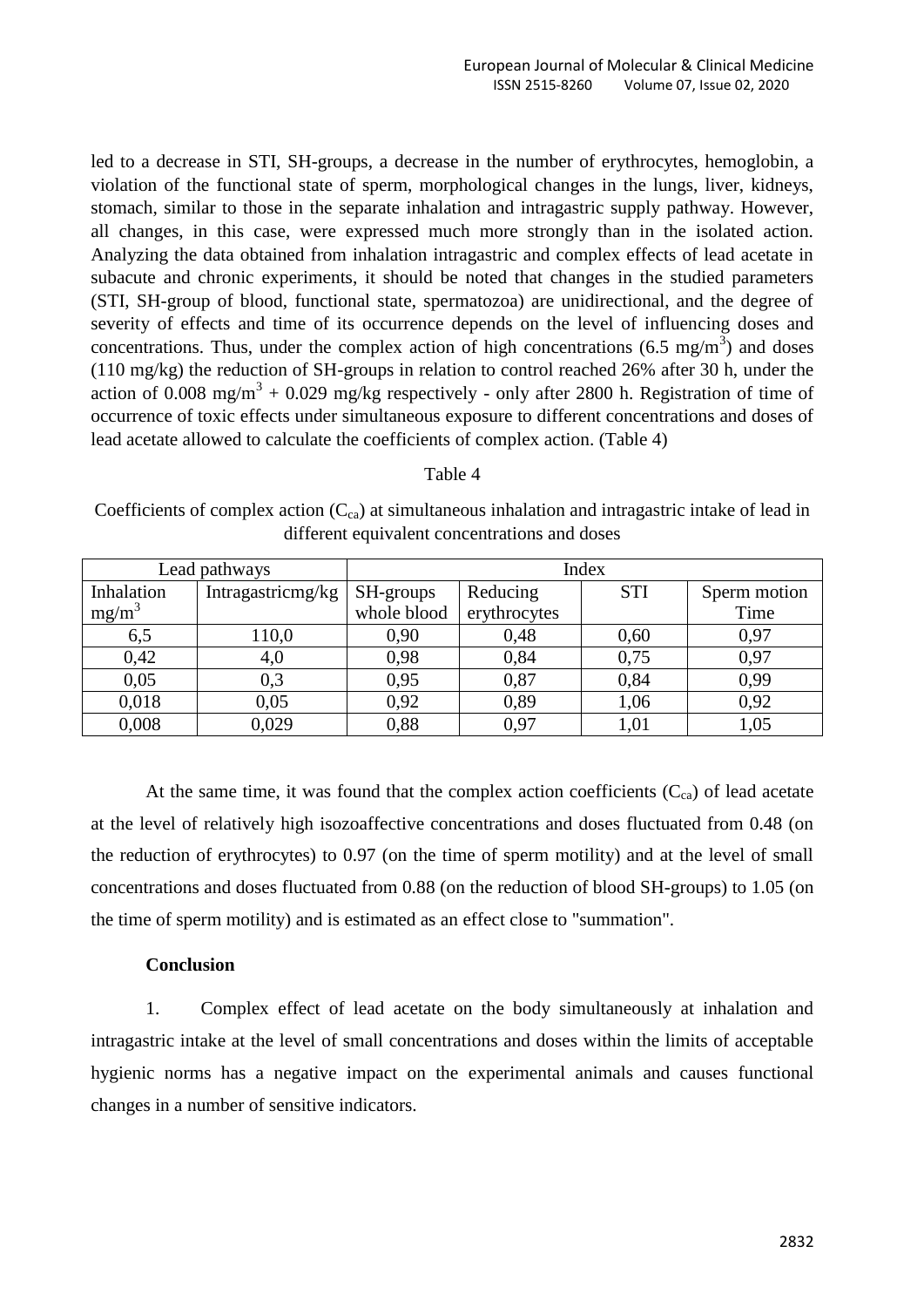led to a decrease in STI, SH-groups, a decrease in the number of erythrocytes, hemoglobin, a violation of the functional state of sperm, morphological changes in the lungs, liver, kidneys, stomach, similar to those in the separate inhalation and intragastric supply pathway. However, all changes, in this case, were expressed much more strongly than in the isolated action. Analyzing the data obtained from inhalation intragastric and complex effects of lead acetate in subacute and chronic experiments, it should be noted that changes in the studied parameters (STI, SH-group of blood, functional state, spermatozoa) are unidirectional, and the degree of severity of effects and time of its occurrence depends on the level of influencing doses and concentrations. Thus, under the complex action of high concentrations (6.5 mg/m<sup>3</sup>) and doses (110 mg/kg) the reduction of SH-groups in relation to control reached 26% after 30 h, under the action of 0.008 mg/m<sup>3</sup> + 0.029 mg/kg respectively - only after 2800 h. Registration of time of occurrence of toxic effects under simultaneous exposure to different concentrations and doses of lead acetate allowed to calculate the coefficients of complex action. (Table 4)

| abie |  |
|------|--|
|------|--|

Coefficients of complex action  $(C_{ca})$  at simultaneous inhalation and intragastric intake of lead in different equivalent concentrations and doses

|            | Lead pathways     | Index                       |                       |      |              |  |  |  |  |
|------------|-------------------|-----------------------------|-----------------------|------|--------------|--|--|--|--|
| Inhalation | Intragastricmg/kg |                             | Reducing<br>SH-groups |      | Sperm motion |  |  |  |  |
| $mg/m^3$   |                   | whole blood<br>erythrocytes |                       |      | Time         |  |  |  |  |
| 6,5        | 110,0             | 0,90                        | 0,48                  | 0,60 | 0,97         |  |  |  |  |
| 0,42       | 4,0               | 0,98                        | 0,84                  | 0,75 | 0,97         |  |  |  |  |
| 0,05       | 0,3               | 0,95                        | 0,87                  | 0,84 | 0,99         |  |  |  |  |
| 0,018      | 0,05              | 0,92                        | 0,89                  | 1,06 | 0,92         |  |  |  |  |
| 0,008      | 0,029             | 0,88                        | 0.97                  | 1,01 | 1,05         |  |  |  |  |

At the same time, it was found that the complex action coefficients  $(C_{ca})$  of lead acetate at the level of relatively high isozoaffective concentrations and doses fluctuated from 0.48 (on the reduction of erythrocytes) to 0.97 (on the time of sperm motility) and at the level of small concentrations and doses fluctuated from 0.88 (on the reduction of blood SH-groups) to 1.05 (on the time of sperm motility) and is estimated as an effect close to "summation".

## **Conclusion**

1. Complex effect of lead acetate on the body simultaneously at inhalation and intragastric intake at the level of small concentrations and doses within the limits of acceptable hygienic norms has a negative impact on the experimental animals and causes functional changes in a number of sensitive indicators.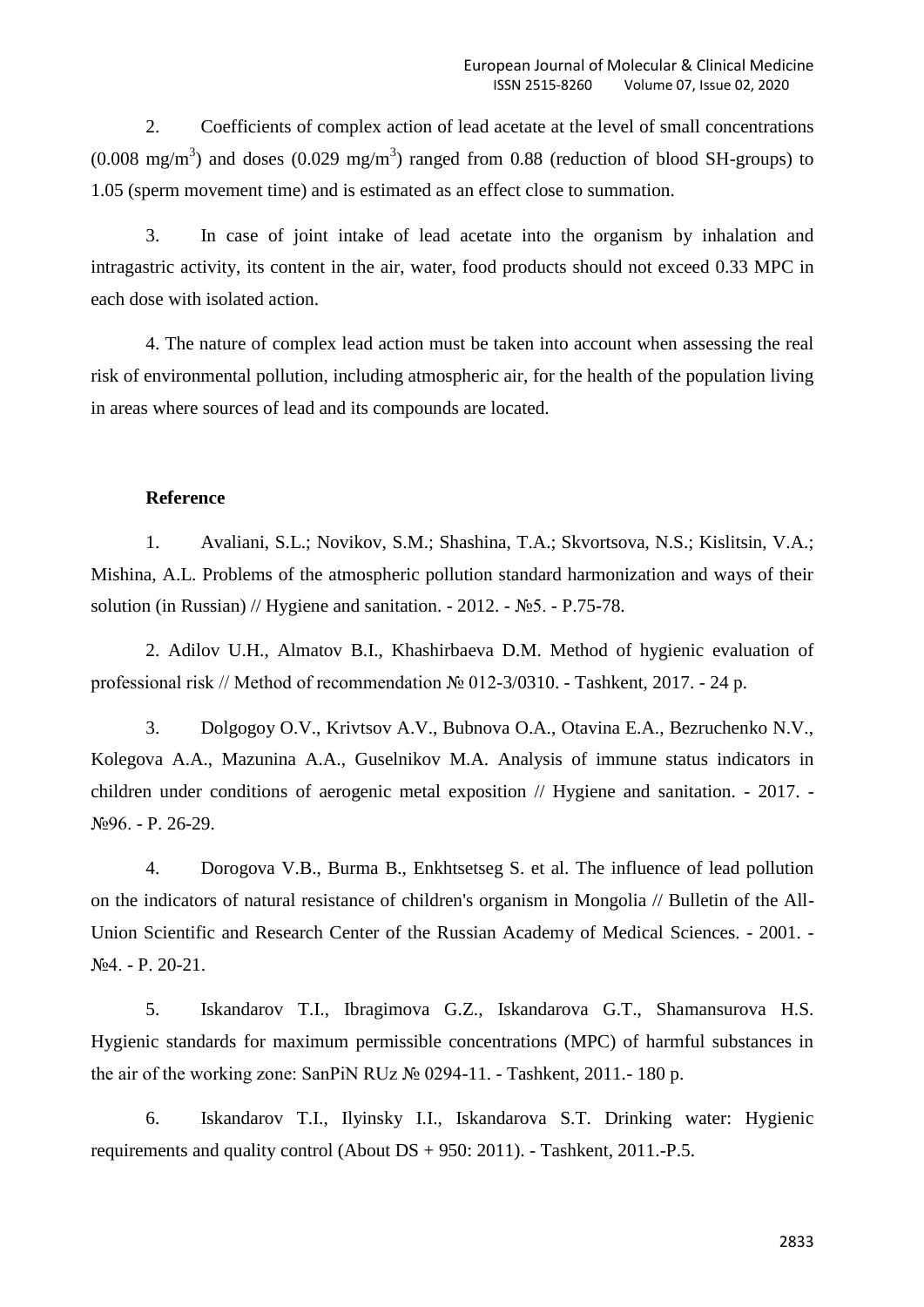2. Coefficients of complex action of lead acetate at the level of small concentrations  $(0.008 \text{ mg/m}^3)$  and doses  $(0.029 \text{ mg/m}^3)$  ranged from 0.88 (reduction of blood SH-groups) to 1.05 (sperm movement time) and is estimated as an effect close to summation.

3. In case of joint intake of lead acetate into the organism by inhalation and intragastric activity, its content in the air, water, food products should not exceed 0.33 MPC in each dose with isolated action.

4. The nature of complex lead action must be taken into account when assessing the real risk of environmental pollution, including atmospheric air, for the health of the population living in areas where sources of lead and its compounds are located.

#### **Reference**

1. Avaliani, S.L.; Novikov, S.M.; Shashina, T.A.; Skvortsova, N.S.; Kislitsin, V.A.; Mishina, A.L. Problems of the atmospheric pollution standard harmonization and ways of their solution (in Russian) // Hygiene and sanitation.  $-2012. - N_25. - P.75-78.$ 

2. Adilov U.H., Almatov B.I., Khashirbaeva D.M. Method of hygienic evaluation of professional risk // Method of recommendation № 012-3/0310. - Tashkent, 2017. - 24 p.

3. Dolgogoy O.V., Krivtsov A.V., Bubnova O.A., Otavina E.A., Bezruchenko N.V., Kolegova A.A., Mazunina A.A., Guselnikov M.A. Analysis of immune status indicators in children under conditions of aerogenic metal exposition // Hygiene and sanitation. - 2017. - №96. - P. 26-29.

4. Dorogova V.B., Burma B., Enkhtsetseg S. et al. The influence of lead pollution on the indicators of natural resistance of children's organism in Mongolia // Bulletin of the All-Union Scientific and Research Center of the Russian Academy of Medical Sciences. - 2001. - №4. - P. 20-21.

5. Iskandarov T.I., Ibragimova G.Z., Iskandarova G.T., Shamansurova H.S. Hygienic standards for maximum permissible concentrations (MPC) of harmful substances in the air of the working zone: SanPiN RUz № 0294-11. - Tashkent, 2011.- 180 p.

6. Iskandarov T.I., Ilyinsky I.I., Iskandarova S.T. Drinking water: Hygienic requirements and quality control (About DS + 950: 2011). - Tashkent, 2011.-P.5.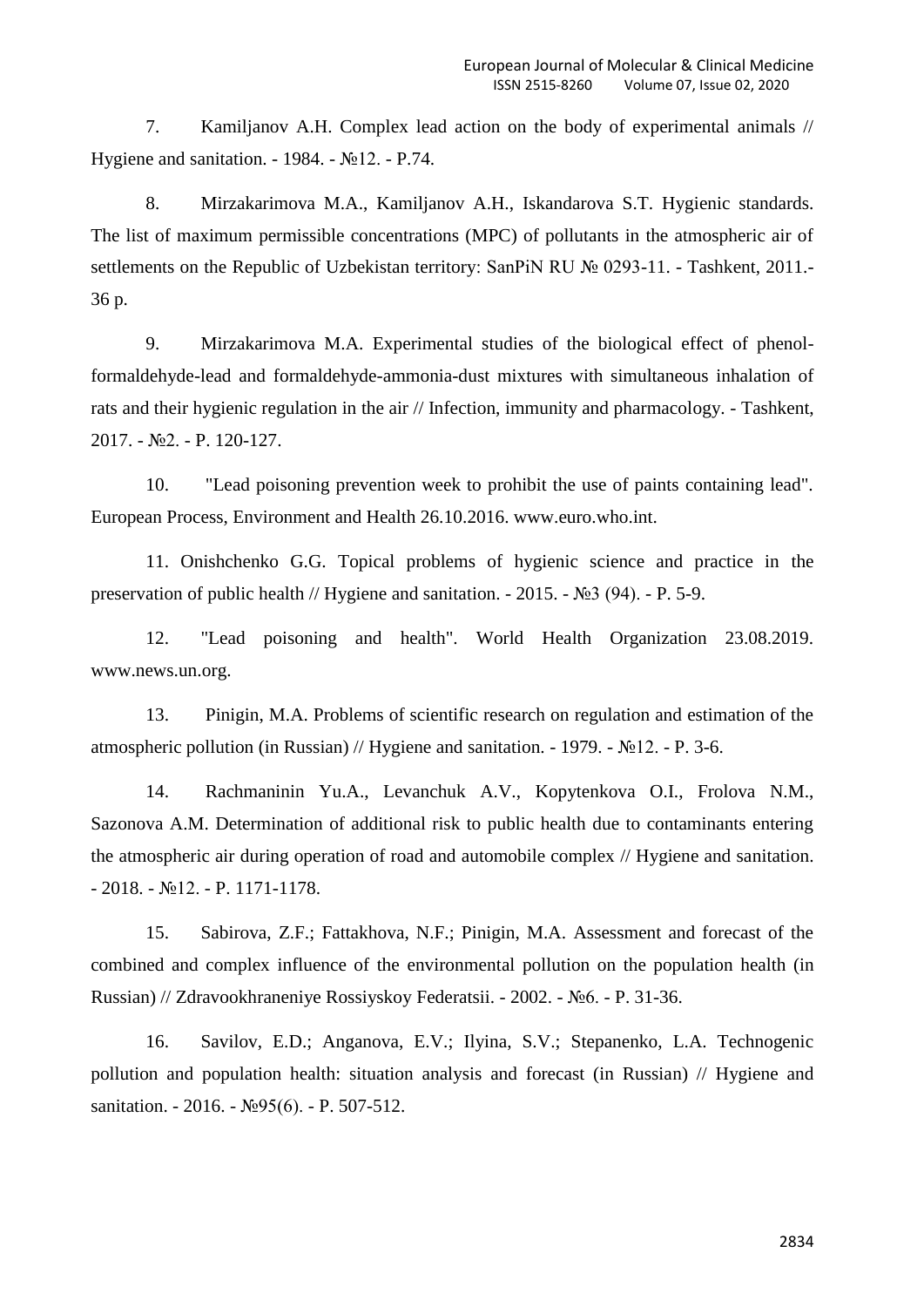7. Kamiljanov A.H. Complex lead action on the body of experimental animals // Hygiene and sanitation. - 1984. - №12. - P.74.

8. Mirzakarimova M.A., Kamiljanov A.H., Iskandarova S.T. Hygienic standards. The list of maximum permissible concentrations (MPC) of pollutants in the atmospheric air of settlements on the Republic of Uzbekistan territory: SanPiN RU № 0293-11. - Tashkent, 2011.-36 p.

9. Mirzakarimova M.A. Experimental studies of the biological effect of phenolformaldehyde-lead and formaldehyde-ammonia-dust mixtures with simultaneous inhalation of rats and their hygienic regulation in the air // Infection, immunity and pharmacology. - Tashkent, 2017. - №2. - P. 120-127.

10. "Lead poisoning prevention week to prohibit the use of paints containing lead". European Process, Environment and Health 26.10.2016. www.euro.who.int.

11. Onishchenko G.G. Topical problems of hygienic science and practice in the preservation of public health // Hygiene and sanitation. - 2015. - №3 (94). - P. 5-9.

12. "Lead poisoning and health". World Health Organization 23.08.2019. www.news.un.org.

13. Pinigin, M.A. Problems of scientific research on regulation and estimation of the atmospheric pollution (in Russian) // Hygiene and sanitation. - 1979. - №12. - P. 3-6.

14. Rachmaninin Yu.A., Levanchuk A.V., Kopytenkova O.I., Frolova N.M., Sazonova A.M. Determination of additional risk to public health due to contaminants entering the atmospheric air during operation of road and automobile complex // Hygiene and sanitation. - 2018. - №12. - P. 1171-1178.

15. Sabirova, Z.F.; Fattakhova, N.F.; Pinigin, M.A. Assessment and forecast of the combined and complex influence of the environmental pollution on the population health (in Russian) // Zdravookhraneniye Rossiyskoy Federatsii. - 2002. - №6. - P. 31-36.

16. Savilov, E.D.; Anganova, E.V.; Ilyina, S.V.; Stepanenko, L.A. Technogenic pollution and population health: situation analysis and forecast (in Russian) // Hygiene and sanitation. - 2016. - №95(6). - P. 507-512.